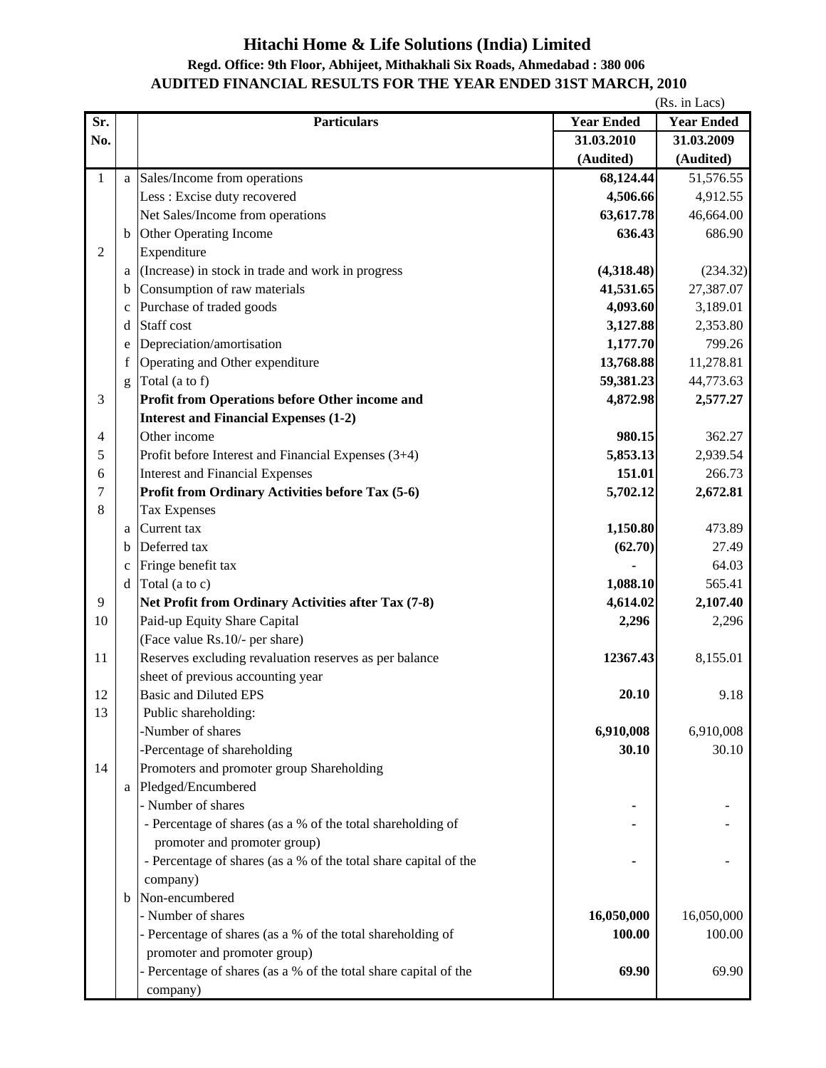## **Hitachi Home & Life Solutions (India) Limited Regd. Office: 9th Floor, Abhijeet, Mithakhali Six Roads, Ahmedabad : 380 006**

## **AUDITED FINANCIAL RESULTS FOR THE YEAR ENDED 31ST MARCH, 2010**

|                |              |                                                                  |                   | (Rs. in Lacs)     |
|----------------|--------------|------------------------------------------------------------------|-------------------|-------------------|
| Sr.            |              | <b>Particulars</b>                                               | <b>Year Ended</b> | <b>Year Ended</b> |
| No.            |              |                                                                  | 31.03.2010        | 31.03.2009        |
|                |              |                                                                  | (Audited)         | (Audited)         |
| $\mathbf{1}$   |              | a Sales/Income from operations                                   | 68,124.44         | 51,576.55         |
|                |              | Less : Excise duty recovered                                     | 4,506.66          | 4,912.55          |
|                |              | Net Sales/Income from operations                                 | 63,617.78         | 46,664.00         |
|                |              | <b>b</b> Other Operating Income                                  | 636.43            | 686.90            |
| $\overline{2}$ |              | Expenditure                                                      |                   |                   |
|                | a l          | (Increase) in stock in trade and work in progress                | (4,318.48)        | (234.32)          |
|                | $\mathbf b$  | Consumption of raw materials                                     | 41,531.65         | 27,387.07         |
|                | $\mathbf{C}$ | Purchase of traded goods                                         | 4,093.60          | 3,189.01          |
|                | d            | Staff cost                                                       | 3,127.88          | 2,353.80          |
|                | e            | Depreciation/amortisation                                        | 1,177.70          | 799.26            |
|                | f            | Operating and Other expenditure                                  | 13,768.88         | 11,278.81         |
|                | g            | Total (a to f)                                                   | 59,381.23         | 44,773.63         |
| 3              |              | Profit from Operations before Other income and                   | 4,872.98          | 2,577.27          |
|                |              | <b>Interest and Financial Expenses (1-2)</b>                     |                   |                   |
| 4              |              | Other income                                                     | 980.15            | 362.27            |
| 5              |              | Profit before Interest and Financial Expenses (3+4)              | 5,853.13          | 2,939.54          |
| 6              |              | <b>Interest and Financial Expenses</b>                           | 151.01            | 266.73            |
| 7              |              | Profit from Ordinary Activities before Tax (5-6)                 | 5,702.12          | 2,672.81          |
| 8              |              | <b>Tax Expenses</b>                                              |                   |                   |
|                | a            | Current tax                                                      | 1,150.80          | 473.89            |
|                | b            | Deferred tax                                                     | (62.70)           | 27.49             |
|                | $\mathbf c$  | Fringe benefit tax                                               |                   | 64.03             |
|                |              | $d$ Total (a to c)                                               | 1,088.10          | 565.41            |
| 9              |              | Net Profit from Ordinary Activities after Tax (7-8)              | 4,614.02          | 2,107.40          |
| 10             |              | Paid-up Equity Share Capital                                     | 2,296             | 2,296             |
|                |              | (Face value Rs.10/- per share)                                   |                   |                   |
| 11             |              | Reserves excluding revaluation reserves as per balance           | 12367.43          | 8,155.01          |
|                |              | sheet of previous accounting year                                |                   |                   |
| 12             |              | <b>Basic and Diluted EPS</b>                                     | 20.10             | 9.18              |
| 13             |              | Public shareholding:                                             |                   |                   |
|                |              | -Number of shares                                                | 6,910,008         | 6,910,008         |
|                |              | -Percentage of shareholding                                      | 30.10             | 30.10             |
| 14             |              | Promoters and promoter group Shareholding                        |                   |                   |
|                |              | a Pledged/Encumbered                                             |                   |                   |
|                |              | - Number of shares                                               |                   |                   |
|                |              | - Percentage of shares (as a % of the total shareholding of      |                   |                   |
|                |              | promoter and promoter group)                                     |                   |                   |
|                |              | - Percentage of shares (as a % of the total share capital of the |                   |                   |
|                |              | company)                                                         |                   |                   |
|                | $\mathbf b$  | Non-encumbered                                                   |                   |                   |
|                |              | - Number of shares                                               | 16,050,000        | 16,050,000        |
|                |              | - Percentage of shares (as a % of the total shareholding of      | 100.00            | 100.00            |
|                |              | promoter and promoter group)                                     |                   |                   |
|                |              | - Percentage of shares (as a % of the total share capital of the | 69.90             | 69.90             |
|                |              | company)                                                         |                   |                   |